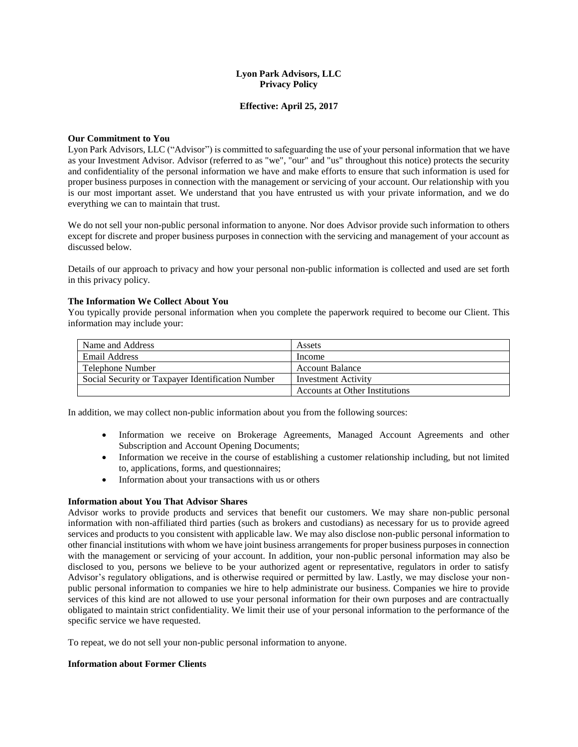# **Lyon Park Advisors, LLC Privacy Policy**

# **Effective: April 25, 2017**

#### **Our Commitment to You**

Lyon Park Advisors, LLC ("Advisor") is committed to safeguarding the use of your personal information that we have as your Investment Advisor. Advisor (referred to as "we", "our" and "us" throughout this notice) protects the security and confidentiality of the personal information we have and make efforts to ensure that such information is used for proper business purposes in connection with the management or servicing of your account. Our relationship with you is our most important asset. We understand that you have entrusted us with your private information, and we do everything we can to maintain that trust.

We do not sell your non-public personal information to anyone. Nor does Advisor provide such information to others except for discrete and proper business purposes in connection with the servicing and management of your account as discussed below.

Details of our approach to privacy and how your personal non-public information is collected and used are set forth in this privacy policy.

#### **The Information We Collect About You**

You typically provide personal information when you complete the paperwork required to become our Client. This information may include your:

| Name and Address                                  | Assets                         |
|---------------------------------------------------|--------------------------------|
| Email Address                                     | Income                         |
| Telephone Number                                  | <b>Account Balance</b>         |
| Social Security or Taxpayer Identification Number | Investment Activity            |
|                                                   | Accounts at Other Institutions |

In addition, we may collect non-public information about you from the following sources:

- Information we receive on Brokerage Agreements, Managed Account Agreements and other Subscription and Account Opening Documents;
- Information we receive in the course of establishing a customer relationship including, but not limited to, applications, forms, and questionnaires;
- Information about your transactions with us or others

#### **Information about You That Advisor Shares**

Advisor works to provide products and services that benefit our customers. We may share non-public personal information with non-affiliated third parties (such as brokers and custodians) as necessary for us to provide agreed services and products to you consistent with applicable law. We may also disclose non-public personal information to other financial institutions with whom we have joint business arrangements for proper business purposes in connection with the management or servicing of your account. In addition, your non-public personal information may also be disclosed to you, persons we believe to be your authorized agent or representative, regulators in order to satisfy Advisor's regulatory obligations, and is otherwise required or permitted by law. Lastly, we may disclose your nonpublic personal information to companies we hire to help administrate our business. Companies we hire to provide services of this kind are not allowed to use your personal information for their own purposes and are contractually obligated to maintain strict confidentiality. We limit their use of your personal information to the performance of the specific service we have requested.

To repeat, we do not sell your non-public personal information to anyone.

# **Information about Former Clients**